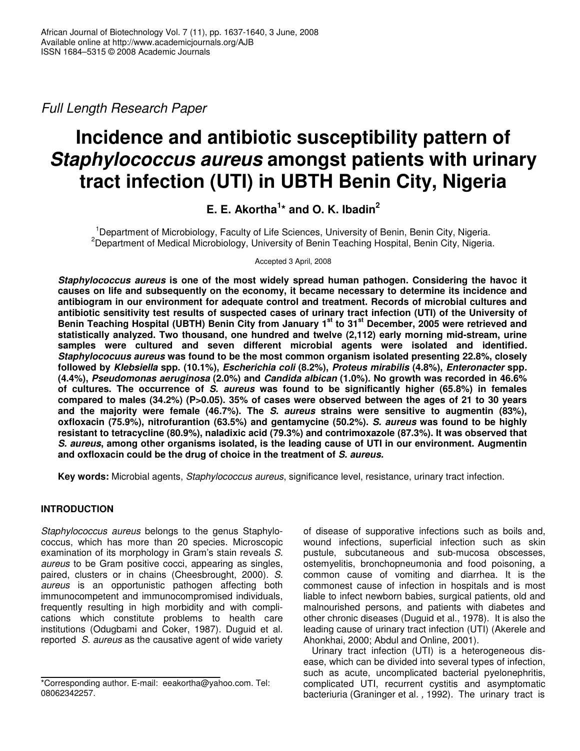*Full Length Research Paper*

# **Incidence and antibiotic susceptibility pattern of** *Staphylococcus aureus* **amongst patients with urinary tract infection (UTI) in UBTH Benin City, Nigeria**

# **E. E. Akortha 1 \* and O. K. Ibadin 2**

<sup>1</sup>Department of Microbiology, Faculty of Life Sciences, University of Benin, Benin City, Nigeria. <sup>2</sup>Department of Medical Microbiology, University of Benin Teaching Hospital, Benin City, Nigeria.

Accepted 3 April, 2008

*Staphylococcus aureus* **is one of the most widely spread human pathogen. Considering the havoc it causes on life and subsequently on the economy, it became necessary to determine its incidence and antibiogram in our environment for adequate control and treatment. Records of microbial cultures and antibiotic sensitivity test results of suspected cases of urinary tract infection (UTI) of the University of** Benin Teaching Hospital (UBTH) Benin City from January 1st to 31st December, 2005 were retrieved and **statistically analyzed. Two thousand, one hundred and twelve (2,112) early morning mid-stream, urine samples were cultured and seven different microbial agents were isolated and identified***. Staphylococuus aureus* **was found to be the most common organism isolated presenting 22.8%, closely followed by** *Klebsiella* **spp. (10.1%),** *Escherichia coli* **(8.2%),** *Proteus mirabilis* **(4.8%),** *Enteronacter* **spp***.* **(4.4%),** *Pseudomonas aeruginosa* **(2.0%) and** *Candida albican* **(1.0%). No growth was recorded in 46.6% of cultures. The occurrence of** *S. aureus* **was found to be significantly higher (65.8%) in females compared to males (34.2%) (P>0.05). 35% of cases were observed between the ages of 21 to 30 years and the majority were female (46.7%). The** *S. aureus* **strains were sensitive to augmentin (83%), oxfloxacin (75.9%), nitrofurantion (63.5%) and gentamycine (50.2%).** *S. aureus* **was found to be highly resistant to tetracycline (80.9%), naladixic acid (79.3%) and contrimoxazole (87.3%). It was observed that** *S. aureus***, among other organisms isolated, is the leading cause of UTI in our environment. Augmentin and oxfloxacin could be the drug of choice in the treatment of** *S. aureus.*

**Key words:** Microbial agents, *Staphylococcus aureus*, significance level, resistance, urinary tract infection.

# **INTRODUCTION**

*Staphylococcus aureus* belongs to the genus Staphylococcus, which has more than 20 species. Microscopic examination of its morphology in Gram's stain reveals *S. aureus* to be Gram positive cocci, appearing as singles, paired, clusters or in chains (Cheesbrought, 2000). *S. aureus* is an opportunistic pathogen affecting both immunocompetent and immunocompromised individuals, frequently resulting in high morbidity and with complications which constitute problems to health care institutions (Odugbami and Coker, 1987). Duguid et al. reported *S. aureus* as the causative agent of wide variety

of disease of supporative infections such as boils and, wound infections, superficial infection such as skin pustule, subcutaneous and sub-mucosa obscesses, ostemyelitis, bronchopneumonia and food poisoning, a common cause of vomiting and diarrhea. It is the commonest cause of infection in hospitals and is most liable to infect newborn babies, surgical patients, old and malnourished persons, and patients with diabetes and other chronic diseases (Duguid et al., 1978). It is also the leading cause of urinary tract infection (UTI) (Akerele and Ahonkhai, 2000; Abdul and Online, 2001).

Urinary tract infection (UTI) is a heterogeneous disease, which can be divided into several types of infection, such as acute, uncomplicated bacterial pyelonephritis, complicated UTI, recurrent cystitis and asymptomatic bacteriuria (Graninger et al*. ,* 1992). The urinary tract is

<sup>\*</sup>Corresponding author. E-mail: eeakortha@yahoo.com. Tel: 08062342257.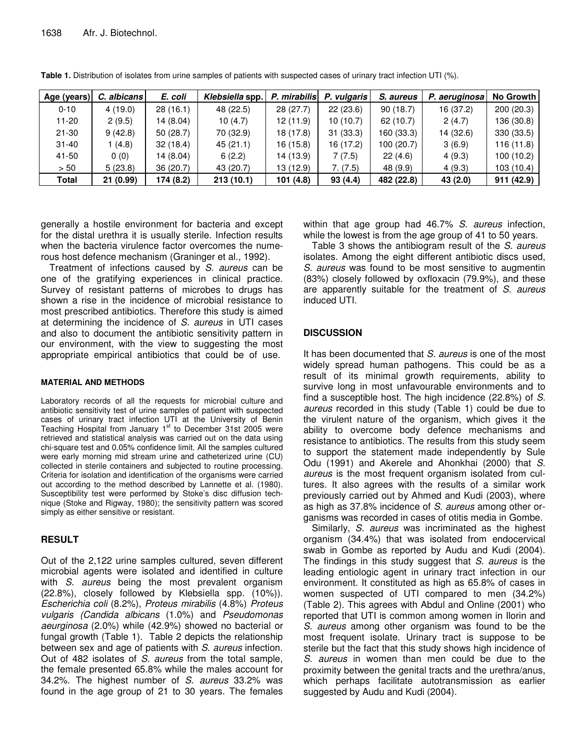| Age (years) | C. albicans | E. coli   | Klebsiella spp. | P. mirabilis | P. vulgaris | S. aureus  | P. aeruginosa | No Growth I |
|-------------|-------------|-----------|-----------------|--------------|-------------|------------|---------------|-------------|
| $0 - 10$    | 4(19.0)     | 28(16.1)  | 48 (22.5)       | 28(27.7)     | 22(23.6)    | 90(18.7)   | 16 (37.2)     | 200(20.3)   |
| 11-20       | 2(9.5)      | 14 (8.04) | 10(4.7)         | 12(11.9)     | 10(10.7)    | 62(10.7)   | 2(4.7)        | 136 (30.8)  |
| $21 - 30$   | 9(42.8)     | 50(28.7)  | 70 (32.9)       | 18 (17.8)    | 31(33.3)    | 160 (33.3) | 14 (32.6)     | 330 (33.5)  |
| $31 - 40$   | 1 (4.8)     | 32(18.4)  | 45(21.1)        | 16 (15.8)    | 16 (17.2)   | 100 (20.7) | 3(6.9)        | 116 (11.8)  |
| 41-50       | 0(0)        | 14 (8.04) | 6(2.2)          | 14 (13.9)    | 7(7.5)      | 22(4.6)    | 4(9.3)        | 100(10.2)   |
| > 50        | 5(23.8)     | 36 (20.7) | 43 (20.7)       | 13 (12.9)    | 7. (7.5)    | 48 (9.9)   | 4(9.3)        | 103 (10.4)  |
| Total       | 21(0.99)    | 174 (8.2) | 213(10.1)       | 101 (4.8)    | 93(4.4)     | 482 (22.8) | 43 (2.0)      | 911(42.9)   |

**Table 1.** Distribution of isolates from urine samples of patients with suspected cases of urinary tract infection UTI (%).

generally a hostile environment for bacteria and except for the distal urethra it is usually sterile. Infection results when the bacteria virulence factor overcomes the numerous host defence mechanism (Graninger et al*.,* 1992).

Treatment of infections caused by *S. aureus* can be one of the gratifying experiences in clinical practice. Survey of resistant patterns of microbes to drugs has shown a rise in the incidence of microbial resistance to most prescribed antibiotics. Therefore this study is aimed at determining the incidence of *S. aureus* in UTI cases and also to document the antibiotic sensitivity pattern in our environment, with the view to suggesting the most appropriate empirical antibiotics that could be of use.

#### **MATERIAL AND METHODS**

Laboratory records of all the requests for microbial culture and antibiotic sensitivity test of urine samples of patient with suspected cases of urinary tract infection UTI at the University of Benin Teaching Hospital from January 1<sup>st</sup> to December 31st 2005 were retrieved and statistical analysis was carried out on the data using chi-square test and 0.05% confidence limit. All the samples cultured were early morning mid stream urine and catheterized urine (CU) collected in sterile containers and subjected to routine processing. Criteria for isolation and identification of the organisms were carried out according to the method described by Lannette et al*.* (1980). Susceptibility test were performed by Stoke's disc diffusion technique (Stoke and Rigway, 1980); the sensitivity pattern was scored simply as either sensitive or resistant.

# **RESULT**

Out of the 2,122 urine samples cultured, seven different microbial agents were isolated and identified in culture with *S. aureus* being the most prevalent organism (22.8%), closely followed by Klebsiella spp*.* (10%)). *Escherichia coli* (8.2%), *Proteus mirabilis* (4.8%) *Proteus vulgaris (Candida albicans* (1.0%) and *Pseudomonas aeurginosa* (2.0%) while (42.9%) showed no bacterial or fungal growth (Table 1). Table 2 depicts the relationship between sex and age of patients with *S*. *aureus* infection. Out of 482 isolates of *S. aureus* from the total sample, the female presented 65.8% while the males account for 34.2%. The highest number of *S. aureus* 33.2% was found in the age group of 21 to 30 years. The females

within that age group had 46.7% *S. aureus* infection, while the lowest is from the age group of 41 to 50 years.

Table 3 shows the antibiogram result of the *S. aureus* isolates. Among the eight different antibiotic discs used, *S. aureus* was found to be most sensitive to augmentin (83%) closely followed by oxfloxacin (79.9%), and these are apparently suitable for the treatment of *S. aureus* induced UTI.

# **DISCUSSION**

It has been documented that *S. aureus* is one of the most widely spread human pathogens. This could be as a result of its minimal growth requirements, ability to survive long in most unfavourable environments and to find a susceptible host. The high incidence (22.8%) of *S. aureus* recorded in this study (Table 1) could be due to the virulent nature of the organism, which gives it the ability to overcome body defence mechanisms and resistance to antibiotics. The results from this study seem to support the statement made independently by Sule Odu (1991) and Akerele and Ahonkhai (2000) that *S. aureus* is the most frequent organism isolated from cultures. It also agrees with the results of a similar work previously carried out by Ahmed and Kudi (2003), where as high as 37.8% incidence of *S. aureus* among other organisms was recorded in cases of otitis media in Gombe.

Similarly, *S. aureus* was incriminated as the highest organism (34.4%) that was isolated from endocervical swab in Gombe as reported by Audu and Kudi (2004). The findings in this study suggest that *S. aureus* is the leading entiologic agent in urinary tract infection in our environment. It constituted as high as 65.8% of cases in women suspected of UTI compared to men (34.2%) (Table 2). This agrees with Abdul and Online (2001) who reported that UTI is common among women in Ilorin and *S. aureus* among other organism was found to be the most frequent isolate. Urinary tract is suppose to be sterile but the fact that this study shows high incidence of *S. aureus* in women than men could be due to the proximity between the genital tracts and the urethra/anus, which perhaps facilitate autotransmission as earlier suggested by Audu and Kudi (2004).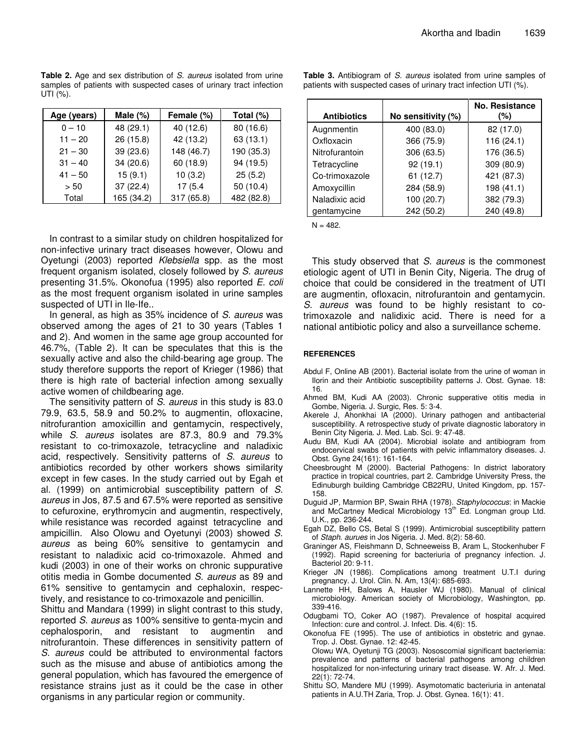**Table 2.** Age and sex distribution of *S. aureus* isolated from urine samples of patients with suspected cases of urinary tract infection UTI (%).

| Age (years) | Male $(\%)$ | Female (%) | Total (%)  |
|-------------|-------------|------------|------------|
| $0 - 10$    | 48 (29.1)   | 40 (12.6)  | 80 (16.6)  |
| $11 - 20$   | 26 (15.8)   | 42 (13.2)  | 63 (13.1)  |
| $21 - 30$   | 39 (23.6)   | 148 (46.7) | 190 (35.3) |
| $31 - 40$   | 34 (20.6)   | 60 (18.9)  | 94 (19.5)  |
| $41 - 50$   | 15(9.1)     | 10(3.2)    | 25(5.2)    |
| > 50        | 37 (22.4)   | 17(5.4)    | 50 (10.4)  |
| Total       | 165 (34.2)  | 317 (65.8) | 482 (82.8) |

In contrast to a similar study on children hospitalized for non-infective urinary tract diseases however, Olowu and Oyetungi (2003) reported *Klebsiella* spp*.* as the most frequent organism isolated, closely followed by *S. aureus* presenting 31.5%. Okonofua (1995) also reported *E. coli* as the most frequent organism isolated in urine samples suspected of UTI in Ile-Ife..

In general, as high as 35% incidence of *S. aureus* was observed among the ages of 21 to 30 years (Tables 1 and 2). And women in the same age group accounted for 46.7%, (Table 2). It can be speculates that this is the sexually active and also the child-bearing age group. The study therefore supports the report of Krieger (1986) that there is high rate of bacterial infection among sexually active women of childbearing age.

The sensitivity pattern of *S. aureus* in this study is 83.0 79.9, 63.5, 58.9 and 50.2% to augmentin, ofloxacine, nitrofurantion amoxicillin and gentamycin, respectively, while *S. aureus* isolates are 87.3, 80.9 and 79.3% resistant to co-trimoxazole, tetracycline and naladixic acid, respectively. Sensitivity patterns of *S. aureus* to antibiotics recorded by other workers shows similarity except in few cases. In the study carried out by Egah et al. (1999) on antimicrobial susceptibility pattern of *S. aureus* in Jos, 87.5 and 67.5% were reported as sensitive to cefuroxine, erythromycin and augmentin, respectively, while resistance was recorded against tetracycline and ampicillin. Also Olowu and Oyetunyi (2003) showed *S. aureus* as being 60% sensitive to gentamycin and resistant to naladixic acid co-trimoxazole. Ahmed and kudi (2003) in one of their works on chronic suppurative otitis media in Gombe documented *S. aureus* as 89 and 61% sensitive to gentamycin and cephaloxin, respectively, and resistance to co-trimoxazole and penicillin.

Shittu and Mandara (1999) in slight contrast to this study, reported *S. aureus* as 100% sensitive to genta-mycin and cephalosporin, and resistant to augmentin and nitrofurantoin. These differences in sensitivity pattern of *S. aureus* could be attributed to environmental factors such as the misuse and abuse of antibiotics among the general population, which has favoured the emergence of resistance strains just as it could be the case in other organisms in any particular region or community.

| <b>Antibiotics</b> | No sensitivity (%) | No. Resistance<br>(%) |
|--------------------|--------------------|-----------------------|
| Augnmentin         | 400 (83.0)         | 82 (17.0)             |
| Oxfloxacin         | 366 (75.9)         | 116(24.1)             |
| Nitrofurantoin     | 306 (63.5)         | 176 (36.5)            |
| Tetracycline       | 92(19.1)           | 309 (80.9)            |
| Co-trimoxazole     | 61(12.7)           | 421 (87.3)            |
| Amoxycillin        | 284 (58.9)         | 198 (41.1)            |

Naladixic acid | 100 (20.7) | 382 (79.3) gentamycine 242 (50.2) 240 (49.8)

**Table 3.** Antibiogram of *S. aureus* isolated from urine samples of patients with suspected cases of urinary tract infection UTI (%).

 $N = 482.$ 

This study observed that *S. aureus* is the commonest etiologic agent of UTI in Benin City, Nigeria. The drug of choice that could be considered in the treatment of UTI are augmentin, ofloxacin, nitrofurantoin and gentamycin. *S. aureus* was found to be highly resistant to cotrimoxazole and nalidixic acid. There is need for a national antibiotic policy and also a surveillance scheme.

#### **REFERENCES**

- Abdul F, Online AB (2001). Bacterial isolate from the urine of woman in Ilorin and their Antibiotic susceptibility patterns J. Obst. Gynae. 18: 16.
- Ahmed BM, Kudi AA (2003). Chronic supperative otitis media in Gombe, Nigeria. J. Surgic, Res. 5: 3-4.
- Akerele J, Ahonkhai IA (2000). Urinary pathogen and antibacterial susceptibility. A retrospective study of private diagnostic laboratory in Benin City Nigeria. J. Med. Lab. Sci. 9: 47-48.
- Audu BM, Kudi AA (2004). Microbial isolate and antibiogram from endocervical swabs of patients with pelvic inflammatory diseases. J. Obst. Gyne 24(161): 161-164.
- Cheesbrought M (2000). Bacterial Pathogens: In district laboratory practice in tropical countries, part 2. Cambridge University Press, the Edinuburgh building Cambridge CB22RU, United Kingdom, pp. 157- 158.
- Duguid JP, Marmion BP, Swain RHA (1978). *Staphylococcus*: in Mackie and McCartney Medical Microbiology 13<sup>th</sup> Ed. Longman group Ltd. U.K., pp. 236-244.
- Egah DZ, Bello CS, Betal S (1999). Antimicrobial susceptibility pattern of *Staph. aurues* in Jos Nigeria. J. Med. 8(2): 58-60.
- Graninger AS, Fleishmann D, Schneeweiss B, Aram L, Stockenhuber F (1992). Rapid screening for bacteriuria of pregnancy infection. J. Bacteriol 20: 9-11.
- Krieger JN (1986). Complications among treatment U.T.I during pregnancy. J. Urol. Clin. N. Am, 13(4): 685-693.
- Lannette HH, Balows A, Hausler WJ (1980). Manual of clinical microbiology. American society of Microbiology, Washington, pp. 339-416.
- Odugbami TO, Coker AO (1987). Prevalence of hospital acquired Infection: cure and control. J. Infect. Dis. 4(6): 15.
- Okonofua FE (1995). The use of antibiotics in obstetric and gynae. Trop. J. Obst. Gynae. 12: 42-45.
- Olowu WA, Oyetunji TG (2003). Nososcomial significant bacteriemia: prevalence and patterns of bacterial pathogens among children hospitalized for non-infecturing urinary tract disease. W. Afr. J. Med. 22(1): 72-74.
- Shittu SO, Mandere MU (1999). Asymotomatic bacteriuria in antenatal patients in A.U.TH Zaria, Trop. J. Obst. Gynea. 16(1): 41.